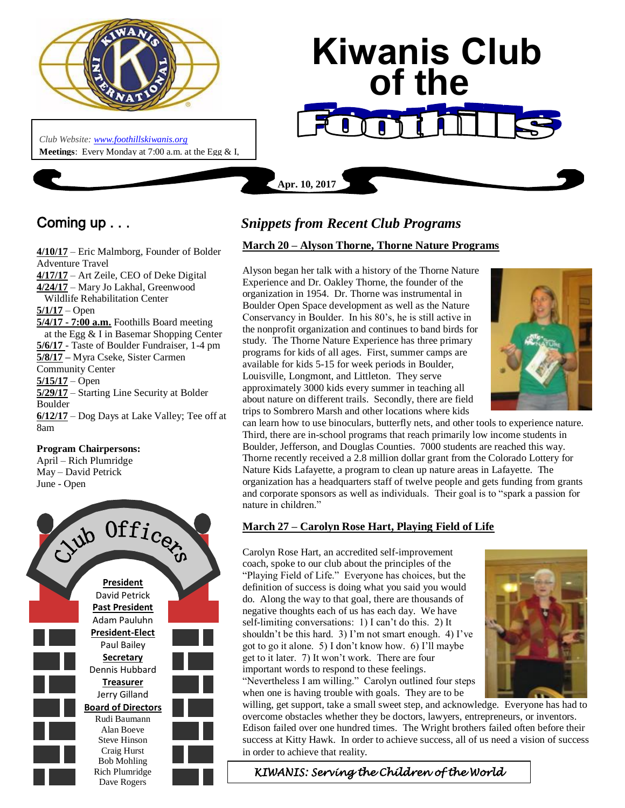

**Meetings**: Every Monday at 7:00 a.m. at the Egg & I, 2574 Baseline Rd, Boulder, CO 80303, 303-494-0555

*Club Website: [www.foothillskiwanis.org](file:///C:/Users/Bob/AppData/Local/Microsoft/Windows/Temporary%20Internet%20Files/Bob/AppData/Local/Microsoft/Users/Users/Bob/AppData/Local/Microsoft/Users/Bob/AppData/Local/Microsoft/Users/Bob/AppData/Local/Microsoft/Users/Bob/AppData/Local/Microsoft/Users/Bob/AppData/Local/Microsoft/Documents%20and%20Settings/Users/Bob/AppData/Local/Microsoft/Windows/Temporary%20Internet%20Files/AppData/Local/Microsoft/Windows/Temporary%20Internet%20Files/AppData/Local/Microsoft/Documents%20and%20Settings/Kerry%20Hassler/Users/Hugh/AppData/AppData/Local/Microsoft/Documents%20and%20Settings/AppData/Local/Temp/www.foothillskiwanis.org)*

# **Kiwanis Club of the**

Coming up . . .

Boulder CO

**4/10/17** – Eric Malmborg, Founder of Bolder Adventure Travel **4/17/17** – Art Zeile, CEO of Deke Digital **4/24/17** – Mary Jo Lakhal, Greenwood Wildlife Rehabilitation Center **5/1/17** – Open **5/4/17 - 7:00 a.m.** Foothills Board meeting at the Egg & I in Basemar Shopping Center **5/6/17** - Taste of Boulder Fundraiser, 1-4 pm **5/8/17 –** Myra Cseke, Sister Carmen Community Center **5/15/17** – Open **5/29/17** – Starting Line Security at Bolder Boulder **6/12/17** – Dog Days at Lake Valley; Tee off at 8am

#### **Program Chairpersons:**

April – Rich Plumridge May – David Petrick June - Open



# *Snippets from Recent Club Programs*

**Apr. 10, 2017**

## **March 20 – Alyson Thorne, Thorne Nature Programs**

Alyson began her talk with a history of the Thorne Nature Experience and Dr. Oakley Thorne, the founder of the organization in 1954. Dr. Thorne was instrumental in Boulder Open Space development as well as the Nature Conservancy in Boulder. In his 80's, he is still active in the nonprofit organization and continues to band birds for study. The Thorne Nature Experience has three primary programs for kids of all ages. First, summer camps are available for kids 5-15 for week periods in Boulder, Louisville, Longmont, and Littleton. They serve approximately 3000 kids every summer in teaching all about nature on different trails. Secondly, there are field trips to Sombrero Marsh and other locations where kids



can learn how to use binoculars, butterfly nets, and other tools to experience nature. Third, there are in-school programs that reach primarily low income students in Boulder, Jefferson, and Douglas Counties. 7000 students are reached this way. Thorne recently received a 2.8 million dollar grant from the Colorado Lottery for Nature Kids Lafayette, a program to clean up nature areas in Lafayette. The organization has a headquarters staff of twelve people and gets funding from grants and corporate sponsors as well as individuals. Their goal is to "spark a passion for nature in children."

## **March 27 – Carolyn Rose Hart, Playing Field of Life**

Carolyn Rose Hart, an accredited self-improvement coach, spoke to our club about the principles of the "Playing Field of Life." Everyone has choices, but the definition of success is doing what you said you would do. Along the way to that goal, there are thousands of negative thoughts each of us has each day. We have self-limiting conversations: 1) I can't do this. 2) It shouldn't be this hard. 3) I'm not smart enough. 4) I've got to go it alone. 5) I don't know how. 6) I'll maybe get to it later. 7) It won't work. There are four important words to respond to these feelings. "Nevertheless I am willing." Carolyn outlined four steps when one is having trouble with goals. They are to be



willing, get support, take a small sweet step, and acknowledge. Everyone has had to overcome obstacles whether they be doctors, lawyers, entrepreneurs, or inventors. Edison failed over one hundred times. The Wright brothers failed often before their success at Kitty Hawk. In order to achieve success, all of us need a vision of success in order to achieve that reality.

*KIWANIS: Serving the Children of the World*